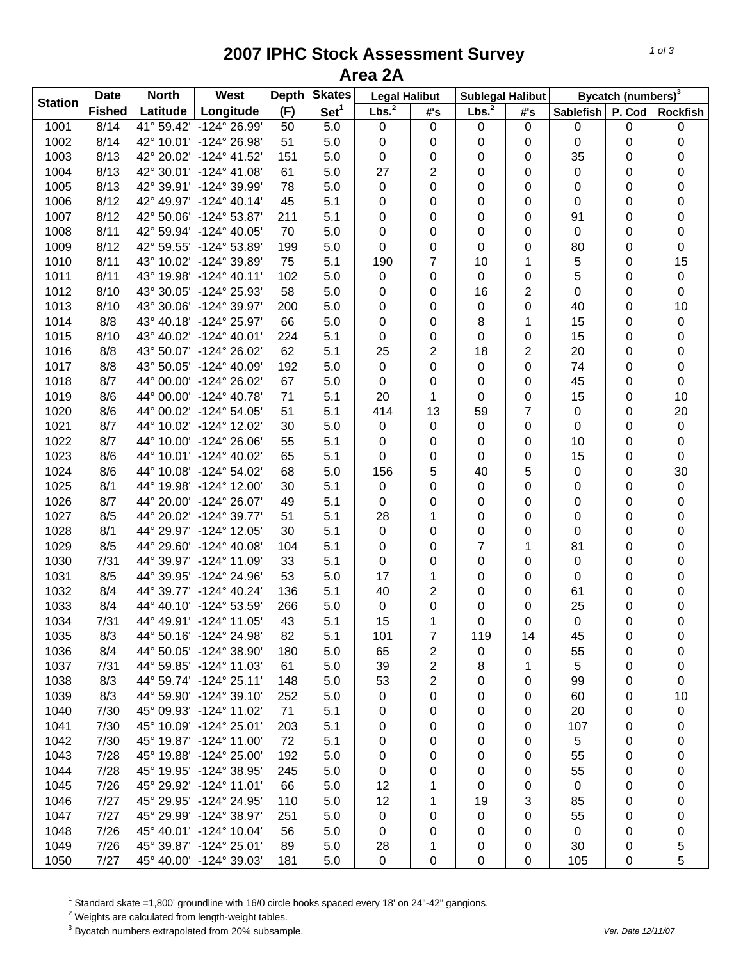## **2007 IPHC Stock Assessment Survey Area 2A**

| <b>Station</b> | <b>Date</b>   | <b>North</b> | <b>West</b>             | <b>Depth</b> | <b>Skates</b>    | <b>Legal Halibut</b> |                | <b>Sublegal Halibut</b> |                | Bycatch (numbers) <sup>3</sup> |        |                  |  |
|----------------|---------------|--------------|-------------------------|--------------|------------------|----------------------|----------------|-------------------------|----------------|--------------------------------|--------|------------------|--|
|                | <b>Fished</b> | Latitude     | Longitude               | (F)          | Set <sup>1</sup> | Lbs. <sup>2</sup>    | #'s            | Lbs. <sup>2</sup>       | #'s            | <b>Sablefish</b>               | P. Cod | <b>Rockfish</b>  |  |
| 1001           | 8/14          |              | 41° 59.42' -124° 26.99' | 50           | 5.0              | $\pmb{0}$            | $\pmb{0}$      | 0                       | $\mathbf 0$    | 0                              | 0      | 0                |  |
| 1002           | 8/14          |              | 42° 10.01' -124° 26.98' | 51           | 5.0              | 0                    | 0              | 0                       | 0              | 0                              | 0      | 0                |  |
| 1003           | 8/13          |              | 42° 20.02' -124° 41.52' | 151          | 5.0              | 0                    | 0              | 0                       | 0              | 35                             | 0      | 0                |  |
| 1004           | 8/13          |              | 42° 30.01' -124° 41.08' | 61           | 5.0              | 27                   | $\sqrt{2}$     | 0                       | 0              | 0                              | 0      | 0                |  |
| 1005           | 8/13          |              | 42° 39.91' -124° 39.99' | 78           | 5.0              | 0                    | 0              | 0                       | 0              | 0                              | 0      | $\boldsymbol{0}$ |  |
| 1006           | 8/12          |              | 42° 49.97' -124° 40.14' | 45           | 5.1              | 0                    | 0              | 0                       | 0              | 0                              | 0      | 0                |  |
| 1007           | 8/12          |              | 42° 50.06' -124° 53.87' | 211          | 5.1              | 0                    | 0              | 0                       | 0              | 91                             | 0      | 0                |  |
| 1008           | 8/11          |              | 42° 59.94' -124° 40.05' | 70           | 5.0              | $\pmb{0}$            | 0              | 0                       | 0              | 0                              | 0      | 0                |  |
| 1009           | 8/12          |              | 42° 59.55' -124° 53.89' | 199          | 5.0              | 0                    | 0              | 0                       | 0              | 80                             | 0      | 0                |  |
| 1010           | 8/11          |              | 43° 10.02' -124° 39.89' | 75           | 5.1              | 190                  | $\overline{7}$ | 10                      | 1              | 5                              | 0      | 15               |  |
| 1011           | 8/11          |              | 43° 19.98' -124° 40.11' | 102          | 5.0              | $\mathbf 0$          | 0              | 0                       | 0              | 5                              | 0      | $\pmb{0}$        |  |
| 1012           | 8/10          |              | 43° 30.05' -124° 25.93' | 58           | 5.0              | 0                    | 0              | 16                      | 2              | 0                              | 0      | 0                |  |
| 1013           | 8/10          |              | 43° 30.06' -124° 39.97' | 200          | 5.0              | 0                    | 0              | 0                       | 0              | 40                             | 0      | 10               |  |
| 1014           | 8/8           |              | 43° 40.18' -124° 25.97' | 66           | 5.0              | 0                    | 0              | 8                       | 1              | 15                             | 0      | $\pmb{0}$        |  |
| 1015           | 8/10          |              | 43° 40.02' -124° 40.01' | 224          | 5.1              | 0                    | 0              | 0                       | 0              | 15                             | 0      | 0                |  |
| 1016           | 8/8           |              | 43° 50.07' -124° 26.02' | 62           | 5.1              | 25                   | $\overline{c}$ | 18                      | 2              | 20                             | 0      | 0                |  |
| 1017           | 8/8           |              | 43° 50.05' -124° 40.09' | 192          | 5.0              | $\pmb{0}$            | 0              | 0                       | 0              | 74                             | 0      | 0                |  |
| 1018           | 8/7           |              | 44° 00.00' -124° 26.02' | 67           | 5.0              | 0                    | 0              | 0                       | 0              | 45                             | 0      | 0                |  |
| 1019           | 8/6           |              | 44° 00.00' -124° 40.78' | 71           | 5.1              | 20                   | 1              | 0                       | 0              | 15                             | 0      | 10               |  |
| 1020           | 8/6           |              | 44° 00.02' -124° 54.05' | 51           | 5.1              | 414                  | 13             | 59                      | $\overline{7}$ | 0                              | 0      | 20               |  |
| 1021           | 8/7           |              | 44° 10.02' -124° 12.02' | 30           | 5.0              | 0                    | 0              | 0                       | 0              | 0                              | 0      | $\pmb{0}$        |  |
| 1022           | 8/7           |              | 44° 10.00' -124° 26.06' | 55           | 5.1              | 0                    | 0              | 0                       | 0              | 10                             | 0      | 0                |  |
| 1023           | 8/6           |              | 44° 10.01' -124° 40.02' | 65           | 5.1              | 0                    | 0              | 0                       | 0              | 15                             | 0      | 0                |  |
| 1024           | 8/6           |              | 44° 10.08' -124° 54.02' | 68           | 5.0              | 156                  | 5              | 40                      | 5              | 0                              | 0      | 30               |  |
| 1025           | 8/1           |              | 44° 19.98' -124° 12.00' | 30           | 5.1              | $\mathbf 0$          | 0              | $\mathbf 0$             | $\pmb{0}$      | 0                              | 0      | $\pmb{0}$        |  |
| 1026           | 8/7           |              | 44° 20.00' -124° 26.07' | 49           | 5.1              | 0                    | 0              | 0                       | 0              | 0                              | 0      | 0                |  |
| 1027           | 8/5           |              | 44° 20.02' -124° 39.77' | 51           | 5.1              | 28                   | 1              | 0                       | 0              | 0                              | 0      | 0                |  |
| 1028           | 8/1           |              | 44° 29.97' -124° 12.05' | 30           | 5.1              | $\mathbf 0$          | 0              | 0                       | 0              | 0                              | 0      | 0                |  |
| 1029           | 8/5           |              | 44° 29.60' -124° 40.08' | 104          | 5.1              | 0                    | 0              | $\overline{7}$          | 1              | 81                             | 0      | 0                |  |
| 1030           | 7/31          |              | 44° 39.97' -124° 11.09' | 33           | 5.1              | 0                    | 0              | 0                       | 0              | 0                              | 0      | 0                |  |
| 1031           | 8/5           |              | 44° 39.95' -124° 24.96' | 53           | 5.0              | 17                   | 1              | 0                       | 0              | 0                              | 0      | 0                |  |
| 1032           | 8/4           |              | 44° 39.77' -124° 40.24' | 136          | 5.1              | 40                   | $\overline{2}$ | 0                       | 0              | 61                             | 0      | 0                |  |
| 1033           | 8/4           |              | 44° 40.10' -124° 53.59' | 266          | 5.0              | 0                    | 0              | 0                       | 0              | 25                             | 0      | 0                |  |
| 1034           | 7/31          |              | 44° 49.91' -124° 11.05' | 43           | 5.1              | 15                   | 1              | 0                       | 0              | 0                              | 0      | $\mathsf 0$      |  |
| 1035           | 8/3           |              | 44° 50.16' -124° 24.98' | 82           | 5.1              | 101                  | 7              | 119                     | 14             | 45                             | 0      | 0                |  |
| 1036           | 8/4           |              | 44° 50.05' -124° 38.90' | 180          | 5.0              | 65                   | 2              | 0                       | 0              | 55                             | 0      | 0                |  |
| 1037           | 7/31          |              | 44° 59.85' -124° 11.03' | 61           | 5.0              | 39                   | 2              | 8                       | 1              | 5                              | 0      | 0                |  |
| 1038           | 8/3           |              | 44° 59.74' -124° 25.11' | 148          | 5.0              | 53                   | 2              | 0                       | 0              | 99                             | 0      | 0                |  |
| 1039           | 8/3           |              | 44° 59.90' -124° 39.10' | 252          | 5.0              | 0                    | 0              | 0                       | 0              | 60                             | 0      | 10               |  |
| 1040           | 7/30          |              | 45° 09.93' -124° 11.02' | 71           | 5.1              | 0                    | 0              | 0                       | 0              | 20                             | 0      | $\pmb{0}$        |  |
| 1041           | 7/30          |              | 45° 10.09' -124° 25.01' | 203          | 5.1              | 0                    | 0              | 0                       | 0              | 107                            | 0      | 0                |  |
| 1042           | 7/30          |              | 45° 19.87' -124° 11.00' | 72           | 5.1              | 0                    | 0              | 0                       | 0              | 5                              | 0      | 0                |  |
| 1043           | 7/28          |              | 45° 19.88' -124° 25.00' | 192          | 5.0              | 0                    | 0              | 0                       | 0              | 55                             | 0      | 0                |  |
| 1044           | 7/28          |              | 45° 19.95' -124° 38.95' | 245          | 5.0              | 0                    | 0              | 0                       | 0              | 55                             | 0      | 0                |  |
| 1045           | 7/26          |              | 45° 29.92' -124° 11.01' | 66           | 5.0              | 12                   | 1              | 0                       | 0              | 0                              | 0      | 0                |  |
| 1046           | 7/27          |              | 45° 29.95' -124° 24.95' | 110          | 5.0              | 12                   | 1              | 19                      | 3              | 85                             | 0      | 0                |  |
| 1047           | 7/27          |              | 45° 29.99' -124° 38.97' | 251          | 5.0              | 0                    | 0              | 0                       | 0              | 55                             | 0      | 0                |  |
| 1048           | 7/26          |              | 45° 40.01' -124° 10.04' | 56           | 5.0              | 0                    | 0              | 0                       | 0              | 0                              | 0      | 0                |  |
| 1049           | 7/26          |              | 45° 39.87' -124° 25.01' | 89           | 5.0              | 28                   | 1              | 0                       | 0              | 30                             | 0      | 5                |  |
| 1050           | 7/27          |              | 45° 40.00' -124° 39.03' | 181          | 5.0              | 0                    | $\pmb{0}$      | $\mathbf 0$             |                | 105                            |        | 5                |  |
|                |               |              |                         |              |                  |                      |                |                         | 0              |                                | 0      |                  |  |

<sup>1</sup> Standard skate =1,800' groundline with 16/0 circle hooks spaced every 18' on 24"-42" gangions.<br><sup>2</sup> Weights are calculated from length-weight tables.<br><sup>3</sup> Bycatch numbers extrapolated from 20% subsample.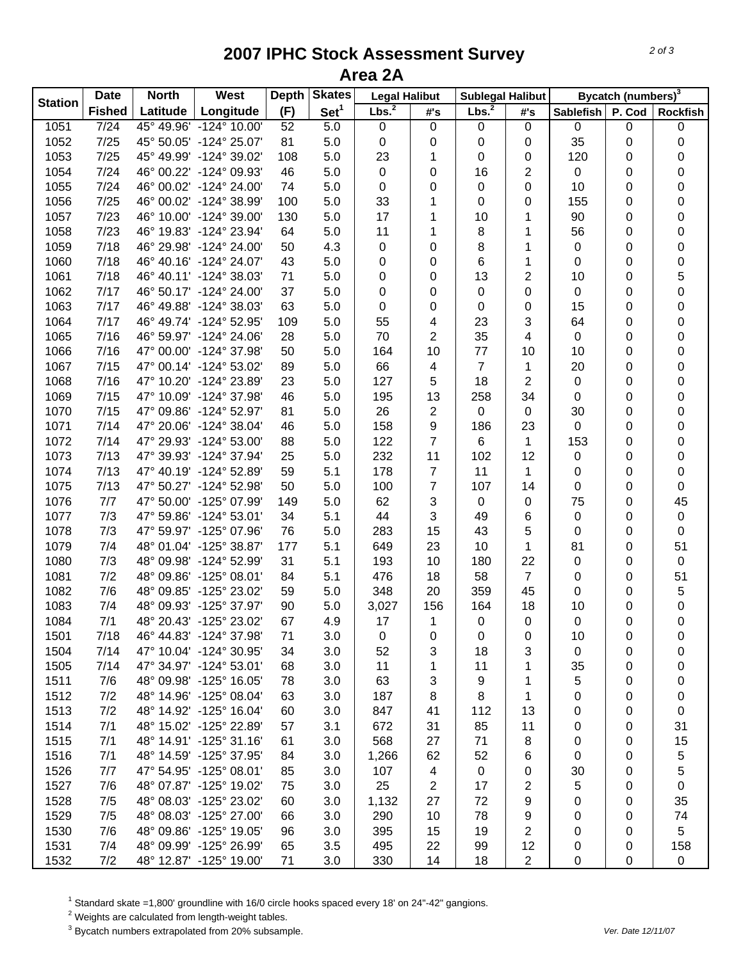## **2007 IPHC Stock Assessment Survey Area 2A**

| <b>Station</b> | <b>Date</b>   | <b>North</b> | <b>West</b>             | <b>Depth</b> | <b>Skates</b>    | <b>Legal Halibut</b> |                | <b>Sublegal Halibut</b> |                | Bycatch (numbers) <sup>3</sup> |        |                 |
|----------------|---------------|--------------|-------------------------|--------------|------------------|----------------------|----------------|-------------------------|----------------|--------------------------------|--------|-----------------|
|                | <b>Fished</b> | Latitude     | Longitude               | (F)          | Set <sup>1</sup> | Lbs. <sup>2</sup>    | #'s            | Lbs. <sup>2</sup>       | #'s            | <b>Sablefish</b>               | P. Cod | <b>Rockfish</b> |
| 1051           | $7/24$        |              | 45° 49.96' -124° 10.00' | 52           | 5.0              | $\mathbf 0$          | $\pmb{0}$      | 0                       | $\mathbf 0$    | 0                              | 0      | 0               |
| 1052           | 7/25          |              | 45° 50.05' -124° 25.07' | 81           | 5.0              | $\pmb{0}$            | 0              | 0                       | 0              | 35                             | 0      | 0               |
| 1053           | 7/25          |              | 45° 49.99' -124° 39.02' | 108          | 5.0              | 23                   | 1              | 0                       | 0              | 120                            | 0      | 0               |
| 1054           | 7/24          |              | 46° 00.22' -124° 09.93' | 46           | 5.0              | $\pmb{0}$            | 0              | 16                      | $\overline{c}$ | 0                              | 0      | 0               |
| 1055           | 7/24          |              | 46° 00.02' -124° 24.00' | 74           | 5.0              | $\pmb{0}$            | 0              | 0                       | 0              | 10                             | 0      | 0               |
| 1056           | 7/25          |              | 46° 00.02' -124° 38.99' | 100          | 5.0              | 33                   | 1              | 0                       | 0              | 155                            | 0      | 0               |
| 1057           | 7/23          |              | 46° 10.00' -124° 39.00' | 130          | 5.0              | 17                   | 1              | 10                      | 1              | 90                             | 0      | 0               |
| 1058           | 7/23          |              | 46° 19.83' -124° 23.94' | 64           | 5.0              | 11                   | 1              | 8                       | 1              | 56                             | 0      | 0               |
| 1059           | 7/18          |              | 46° 29.98' -124° 24.00' | 50           | 4.3              | $\pmb{0}$            | 0              | 8                       | 1              | 0                              | 0      | 0               |
| 1060           | 7/18          |              | 46° 40.16' -124° 24.07' | 43           | 5.0              | 0                    | 0              | 6                       | 1              | 0                              | 0      | 0               |
| 1061           | 7/18          |              | 46° 40.11' -124° 38.03' | 71           | 5.0              | 0                    | 0              | 13                      | $\overline{c}$ | 10                             | 0      | $\mathbf 5$     |
| 1062           | 7/17          |              | 46° 50.17' -124° 24.00' | 37           | 5.0              | 0                    | 0              | 0                       | 0              | 0                              | 0      | $\mathbf 0$     |
| 1063           | 7/17          |              | 46° 49.88' -124° 38.03' | 63           | 5.0              | 0                    | 0              | 0                       | 0              | 15                             | 0      | 0               |
| 1064           | 7/17          |              | 46° 49.74' -124° 52.95' | 109          | 5.0              | 55                   | 4              | 23                      | 3              | 64                             | 0      | 0               |
| 1065           | 7/16          |              | 46° 59.97' -124° 24.06' | 28           | 5.0              | 70                   | $\overline{2}$ | 35                      | 4              | 0                              | 0      | 0               |
| 1066           | 7/16          |              | 47° 00.00' -124° 37.98' | 50           | 5.0              | 164                  | 10             | 77                      | 10             | 10                             | 0      | 0               |
| 1067           | 7/15          |              | 47° 00.14' -124° 53.02' | 89           | 5.0              | 66                   | 4              | $\overline{7}$          | 1              | 20                             | 0      | 0               |
| 1068           | 7/16          |              | 47° 10.20' -124° 23.89' | 23           | 5.0              | 127                  | 5              | 18                      | $\overline{2}$ | 0                              | 0      | 0               |
| 1069           | 7/15          |              | 47° 10.09' -124° 37.98' | 46           | 5.0              | 195                  | 13             | 258                     | 34             | 0                              | 0      | 0               |
| 1070           | 7/15          |              | 47° 09.86' -124° 52.97' | 81           | 5.0              | 26                   | $\sqrt{2}$     | $\pmb{0}$               | $\pmb{0}$      | 30                             | 0      | 0               |
| 1071           | 7/14          |              | 47° 20.06' -124° 38.04' | 46           | 5.0              | 158                  | 9              | 186                     | 23             | 0                              | 0      | 0               |
| 1072           | 7/14          |              | 47° 29.93' -124° 53.00' | 88           | 5.0              | 122                  | $\overline{7}$ | $\,6\,$                 | 1              | 153                            | 0      | 0               |
| 1073           | 7/13          |              | 47° 39.93' -124° 37.94' | 25           | 5.0              | 232                  | 11             | 102                     | 12             | 0                              | 0      | 0               |
| 1074           | 7/13          |              | 47° 40.19' -124° 52.89' | 59           | 5.1              | 178                  | $\overline{7}$ | 11                      | $\mathbf{1}$   | 0                              | 0      | 0               |
| 1075           | 7/13          |              | 47° 50.27' -124° 52.98' | 50           | 5.0              | 100                  | $\overline{7}$ | 107                     | 14             | 0                              | 0      | $\pmb{0}$       |
| 1076           | 7/7           |              | 47° 50.00' -125° 07.99' | 149          | 5.0              | 62                   | 3              | $\pmb{0}$               | $\pmb{0}$      | 75                             | 0      | 45              |
| 1077           | 7/3           |              | 47° 59.86' -124° 53.01' | 34           | 5.1              | 44                   | 3              | 49                      | 6              | 0                              | 0      | $\pmb{0}$       |
| 1078           | 7/3           |              | 47° 59.97' -125° 07.96' | 76           | 5.0              | 283                  | 15             | 43                      | 5              | 0                              | 0      | $\pmb{0}$       |
| 1079           | 7/4           |              | 48° 01.04' -125° 38.87' | 177          | 5.1              | 649                  | 23             | 10                      | 1              | 81                             | 0      | 51              |
| 1080           | 7/3           |              | 48° 09.98' -124° 52.99' | 31           | 5.1              | 193                  | 10             | 180                     | 22             | 0                              | 0      | $\pmb{0}$       |
| 1081           | 7/2           |              | 48° 09.86' -125° 08.01' | 84           | 5.1              | 476                  | 18             | 58                      | $\overline{7}$ | 0                              | 0      | 51              |
| 1082           | 7/6           |              | 48° 09.85' -125° 23.02' | 59           | 5.0              | 348                  | 20             | 359                     | 45             | 0                              | 0      | $\,$ 5 $\,$     |
| 1083           | 7/4           |              | 48° 09.93' -125° 37.97' | 90           | 5.0              | 3,027                | 156            | 164                     | 18             | 10                             | 0      | 0               |
| 1084           | 7/1           |              | 48° 20.43' -125° 23.02' | 67           | 4.9              | 17                   | $\mathbf{1}$   | $\pmb{0}$               | $\mathbf 0$    | 0                              | 0      | $\mathsf 0$     |
| 1501           | 7/18          |              | 46° 44.83' -124° 37.98' | 71           | 3.0              | 0                    | 0              | 0                       | 0              | 10                             | 0      | 0               |
| 1504           | 7/14          |              | 47° 10.04' -124° 30.95' | 34           | 3.0              | 52                   | 3              | 18                      | 3              | 0                              | 0      | 0               |
| 1505           | 7/14          |              | 47° 34.97' -124° 53.01' | 68           | 3.0              | 11                   | 1              | 11                      | 1              | 35                             | 0      | 0               |
| 1511           | 7/6           |              | 48° 09.98' -125° 16.05' | 78           | 3.0              | 63                   | 3              | 9                       | 1              | 5                              | 0      | 0               |
| 1512           | 7/2           |              | 48° 14.96' -125° 08.04' | 63           | 3.0              | 187                  | 8              | 8                       | 1              | 0                              | 0      | 0               |
| 1513           | 7/2           |              | 48° 14.92' -125° 16.04' | 60           | 3.0              | 847                  | 41             | 112                     | 13             | 0                              | 0      | 0               |
| 1514           | 7/1           |              | 48° 15.02' -125° 22.89' | 57           | 3.1              | 672                  | 31             | 85                      | 11             | 0                              | 0      | 31              |
| 1515           | 7/1           |              | 48° 14.91' -125° 31.16' | 61           | 3.0              | 568                  | 27             | 71                      | 8              | 0                              | 0      | 15              |
| 1516           | 7/1           |              | 48° 14.59' -125° 37.95' | 84           | 3.0              | 1,266                | 62             | 52                      | 6              | 0                              | 0      | 5               |
| 1526           | 7/7           |              | 47° 54.95' -125° 08.01' | 85           | 3.0              | 107                  | 4              | 0                       | 0              | 30                             | 0      | 5               |
| 1527           | 7/6           |              | 48° 07.87' -125° 19.02' | 75           | 3.0              | 25                   | 2              | 17                      | 2              | 5                              | 0      | 0               |
| 1528           | 7/5           |              | 48° 08.03' -125° 23.02' | 60           | 3.0              | 1,132                | 27             | 72                      | 9              | 0                              | 0      | 35              |
| 1529           | 7/5           |              | 48° 08.03' -125° 27.00' | 66           | 3.0              | 290                  | 10             | 78                      | 9              | 0                              | 0      | 74              |
| 1530           | 7/6           |              | 48° 09.86' -125° 19.05' | 96           | 3.0              | 395                  | 15             | 19                      | 2              | 0                              | 0      | 5               |
| 1531           | 7/4           |              | 48° 09.99' -125° 26.99' | 65           | 3.5              | 495                  | 22             | 99                      | 12             | 0                              | 0      | 158             |
| 1532           | 7/2           |              | 48° 12.87' -125° 19.00' | 71           | 3.0              | 330                  | 14             | 18                      | $\overline{2}$ | 0                              | 0      | $\mathbf 0$     |
|                |               |              |                         |              |                  |                      |                |                         |                |                                |        |                 |

 $^1$  Standard skate =1,800' groundline with 16/0 circle hooks spaced every 18' on 24"-42" gangions.<br><sup>2</sup> Weights are calculated from length-weight tables.

3 Bycatch numbers extrapolated from 20% subsample. *Ver. Date 12/11/07*